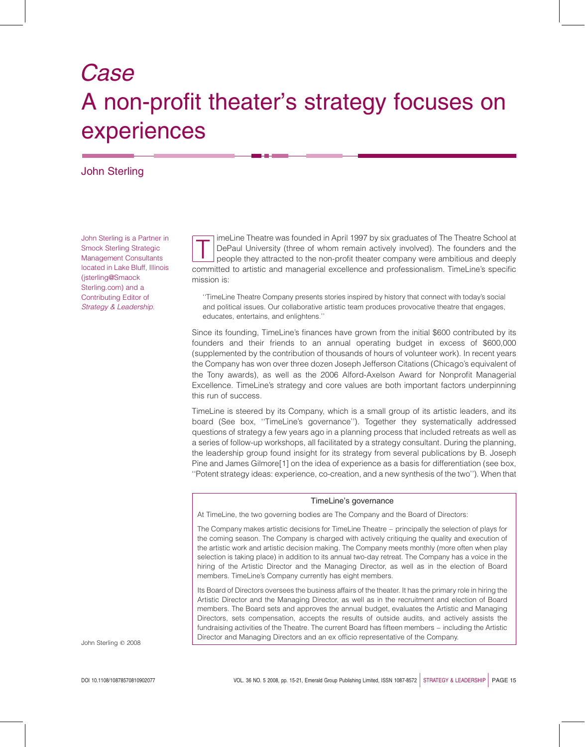## Case

# A non-profit theater's strategy focuses on experiences

### John Sterling

John Sterling is a Partner in Smock Sterling Strategic Management Consultants located in Lake Bluff, Illinois (jsterling@Smaock Sterling.com) and a Contributing Editor of Strategy & Leadership.

ImeLine Theatre was founded in April 1997 by six graduates of The Theatre School at<br>DePaul University (three of whom remain actively involved). The founders and the<br>people they attracted to the non-profit theater company w DePaul University (three of whom remain actively involved). The founders and the committed to artistic and managerial excellence and professionalism. TimeLine's specific mission is:

''TimeLine Theatre Company presents stories inspired by history that connect with today's social and political issues. Our collaborative artistic team produces provocative theatre that engages, educates, entertains, and enlightens.''

Since its founding, TimeLine's finances have grown from the initial \$600 contributed by its founders and their friends to an annual operating budget in excess of \$600,000 (supplemented by the contribution of thousands of hours of volunteer work). In recent years the Company has won over three dozen Joseph Jefferson Citations (Chicago's equivalent of the Tony awards), as well as the 2006 Alford-Axelson Award for Nonprofit Managerial Excellence. TimeLine's strategy and core values are both important factors underpinning this run of success.

TimeLine is steered by its Company, which is a small group of its artistic leaders, and its board (See box, ''TimeLine's governance''). Together they systematically addressed questions of strategy a few years ago in a planning process that included retreats as well as a series of follow-up workshops, all facilitated by a strategy consultant. During the planning, the leadership group found insight for its strategy from several publications by B. Joseph Pine and James Gilmore[1] on the idea of experience as a basis for differentiation (see box, ''Potent strategy ideas: experience, co-creation, and a new synthesis of the two''). When that

#### TimeLine's governance

At TimeLine, the two governing bodies are The Company and the Board of Directors:

The Company makes artistic decisions for TimeLine Theatre – principally the selection of plays for the coming season. The Company is charged with actively critiquing the quality and execution of the artistic work and artistic decision making. The Company meets monthly (more often when play selection is taking place) in addition to its annual two-day retreat. The Company has a voice in the hiring of the Artistic Director and the Managing Director, as well as in the election of Board members. TimeLine's Company currently has eight members.

Its Board of Directors oversees the business affairs of the theater. It has the primary role in hiring the Artistic Director and the Managing Director, as well as in the recruitment and election of Board members. The Board sets and approves the annual budget, evaluates the Artistic and Managing Directors, sets compensation, accepts the results of outside audits, and actively assists the fundraising activities of the Theatre. The current Board has fifteen members – including the Artistic Director and Managing Directors and an ex officio representative of the Company.

John Sterling © 2008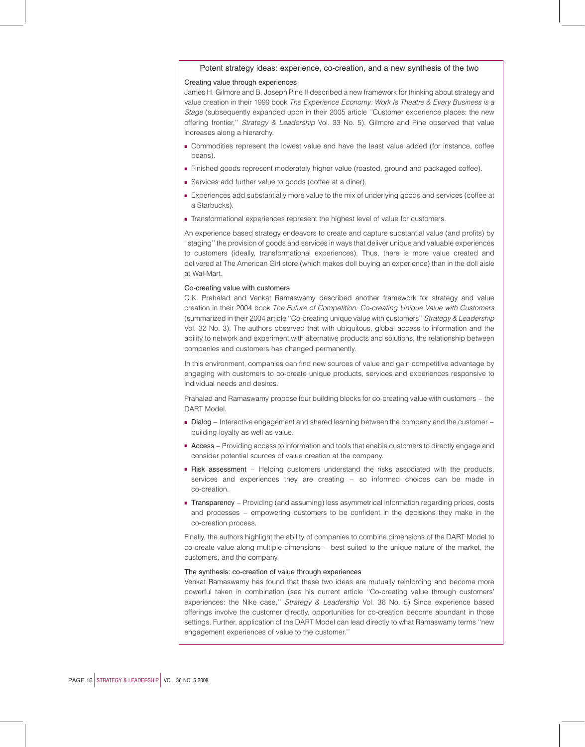#### Potent strategy ideas: experience, co-creation, and a new synthesis of the two

#### Creating value through experiences

James H. Gilmore and B. Joseph Pine II described a new framework for thinking about strategy and value creation in their 1999 book The Experience Economy: Work Is Theatre & Every Business is a Stage (subsequently expanded upon in their 2005 article "Customer experience places: the new offering frontier,'' Strategy & Leadership Vol. 33 No. 5). Gilmore and Pine observed that value increases along a hierarchy.

- **B** Commodities represent the lowest value and have the least value added (for instance, coffee beans).
- **Finished goods represent moderately higher value (roasted, ground and packaged coffee).**
- **B** Services add further value to goods (coffee at a diner).
- **Experiences add substantially more value to the mix of underlying goods and services (coffee at** a Starbucks).
- **Fransformational experiences represent the highest level of value for customers.**

An experience based strategy endeavors to create and capture substantial value (and profits) by ''staging'' the provision of goods and services in ways that deliver unique and valuable experiences to customers (ideally, transformational experiences). Thus, there is more value created and delivered at The American Girl store (which makes doll buying an experience) than in the doll aisle at Wal-Mart.

#### Co-creating value with customers

C.K. Prahalad and Venkat Ramaswamy described another framework for strategy and value creation in their 2004 book The Future of Competition: Co-creating Unique Value with Customers (summarized in their 2004 article ''Co-creating unique value with customers'' Strategy & Leadership Vol. 32 No. 3). The authors observed that with ubiquitous, global access to information and the ability to network and experiment with alternative products and solutions, the relationship between companies and customers has changed permanently.

In this environment, companies can find new sources of value and gain competitive advantage by engaging with customers to co-create unique products, services and experiences responsive to individual needs and desires.

Prahalad and Ramaswamy propose four building blocks for co-creating value with customers – the DART Model.

- **Dialog** Interactive engagement and shared learning between the company and the customer building loyalty as well as value.
- **B Access** Providing access to information and tools that enable customers to directly engage and consider potential sources of value creation at the company.
- **B Risk assessment** Helping customers understand the risks associated with the products, services and experiences they are creating – so informed choices can be made in co-creation.
- **Fransparency** Providing (and assuming) less asymmetrical information regarding prices, costs and processes – empowering customers to be confident in the decisions they make in the co-creation process.

Finally, the authors highlight the ability of companies to combine dimensions of the DART Model to co-create value along multiple dimensions – best suited to the unique nature of the market, the customers, and the company.

#### The synthesis: co-creation of value through experiences

Venkat Ramaswamy has found that these two ideas are mutually reinforcing and become more powerful taken in combination (see his current article ''Co-creating value through customers' experiences: the Nike case," Strategy & Leadership Vol. 36 No. 5) Since experience based offerings involve the customer directly, opportunities for co-creation become abundant in those settings. Further, application of the DART Model can lead directly to what Ramaswamy terms ''new engagement experiences of value to the customer.''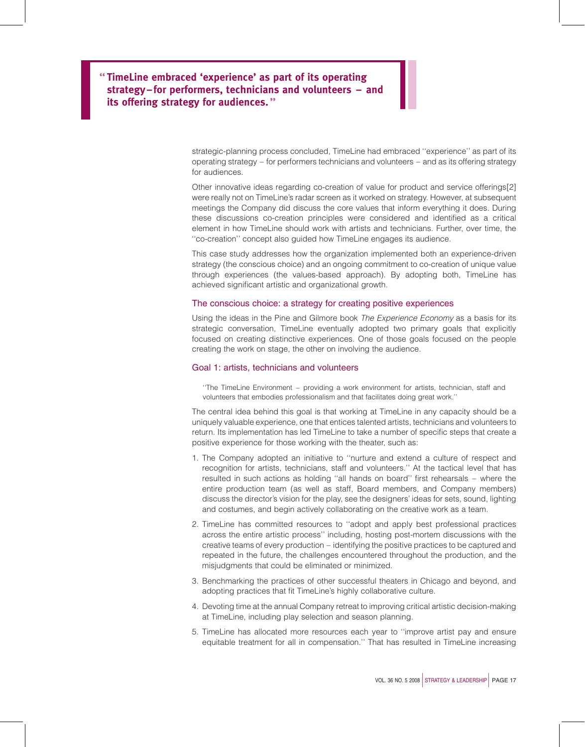'' TimeLine embraced 'experience' as part of its operating strategy– for performers, technicians and volunteers – and its offering strategy for audiences. ''

> strategic-planning process concluded, TimeLine had embraced ''experience'' as part of its operating strategy – for performers technicians and volunteers – and as its offering strategy for audiences.

> Other innovative ideas regarding co-creation of value for product and service offerings[2] were really not on TimeLine's radar screen as it worked on strategy. However, at subsequent meetings the Company did discuss the core values that inform everything it does. During these discussions co-creation principles were considered and identified as a critical element in how TimeLine should work with artists and technicians. Further, over time, the ''co-creation'' concept also guided how TimeLine engages its audience.

> This case study addresses how the organization implemented both an experience-driven strategy (the conscious choice) and an ongoing commitment to co-creation of unique value through experiences (the values-based approach). By adopting both, TimeLine has achieved significant artistic and organizational growth.

#### The conscious choice: a strategy for creating positive experiences

Using the ideas in the Pine and Gilmore book The Experience Economy as a basis for its strategic conversation, TimeLine eventually adopted two primary goals that explicitly focused on creating distinctive experiences. One of those goals focused on the people creating the work on stage, the other on involving the audience.

#### Goal 1: artists, technicians and volunteers

''The TimeLine Environment – providing a work environment for artists, technician, staff and volunteers that embodies professionalism and that facilitates doing great work.''

The central idea behind this goal is that working at TimeLine in any capacity should be a uniquely valuable experience, one that entices talented artists, technicians and volunteers to return. Its implementation has led TimeLine to take a number of specific steps that create a positive experience for those working with the theater, such as:

- 1. The Company adopted an initiative to ''nurture and extend a culture of respect and recognition for artists, technicians, staff and volunteers.'' At the tactical level that has resulted in such actions as holding ''all hands on board'' first rehearsals – where the entire production team (as well as staff, Board members, and Company members) discuss the director's vision for the play, see the designers' ideas for sets, sound, lighting and costumes, and begin actively collaborating on the creative work as a team.
- 2. TimeLine has committed resources to ''adopt and apply best professional practices across the entire artistic process'' including, hosting post-mortem discussions with the creative teams of every production – identifying the positive practices to be captured and repeated in the future, the challenges encountered throughout the production, and the misjudgments that could be eliminated or minimized.
- 3. Benchmarking the practices of other successful theaters in Chicago and beyond, and adopting practices that fit TimeLine's highly collaborative culture.
- 4. Devoting time at the annual Company retreat to improving critical artistic decision-making at TimeLine, including play selection and season planning.
- 5. TimeLine has allocated more resources each year to ''improve artist pay and ensure equitable treatment for all in compensation.'' That has resulted in TimeLine increasing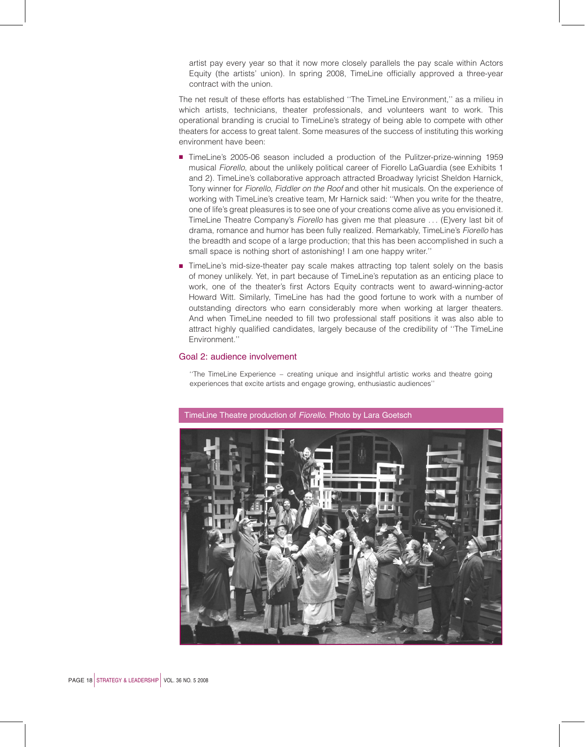artist pay every year so that it now more closely parallels the pay scale within Actors Equity (the artists' union). In spring 2008, TimeLine officially approved a three-year contract with the union.

The net result of these efforts has established ''The TimeLine Environment,'' as a milieu in which artists, technicians, theater professionals, and volunteers want to work. This operational branding is crucial to TimeLine's strategy of being able to compete with other theaters for access to great talent. Some measures of the success of instituting this working environment have been:

- <sup>B</sup> TimeLine's 2005-06 season included a production of the Pulitzer-prize-winning 1959 musical Fiorello, about the unlikely political career of Fiorello LaGuardia (see Exhibits 1 and 2). TimeLine's collaborative approach attracted Broadway lyricist Sheldon Harnick, Tony winner for Fiorello, Fiddler on the Roof and other hit musicals. On the experience of working with TimeLine's creative team, Mr Harnick said: ''When you write for the theatre, one of life's great pleasures is to see one of your creations come alive as you envisioned it. TimeLine Theatre Company's Fiorello has given me that pleasure . . . (E)very last bit of drama, romance and humor has been fully realized. Remarkably, TimeLine's Fiorello has the breadth and scope of a large production; that this has been accomplished in such a small space is nothing short of astonishing! I am one happy writer.''
- **B** TimeLine's mid-size-theater pay scale makes attracting top talent solely on the basis of money unlikely. Yet, in part because of TimeLine's reputation as an enticing place to work, one of the theater's first Actors Equity contracts went to award-winning-actor Howard Witt. Similarly, TimeLine has had the good fortune to work with a number of outstanding directors who earn considerably more when working at larger theaters. And when TimeLine needed to fill two professional staff positions it was also able to attract highly qualified candidates, largely because of the credibility of ''The TimeLine Environment.''

#### Goal 2: audience involvement

''The TimeLine Experience – creating unique and insightful artistic works and theatre going experiences that excite artists and engage growing, enthusiastic audiences''



#### TimeLine Theatre production of Fiorello. Photo by Lara Goetsch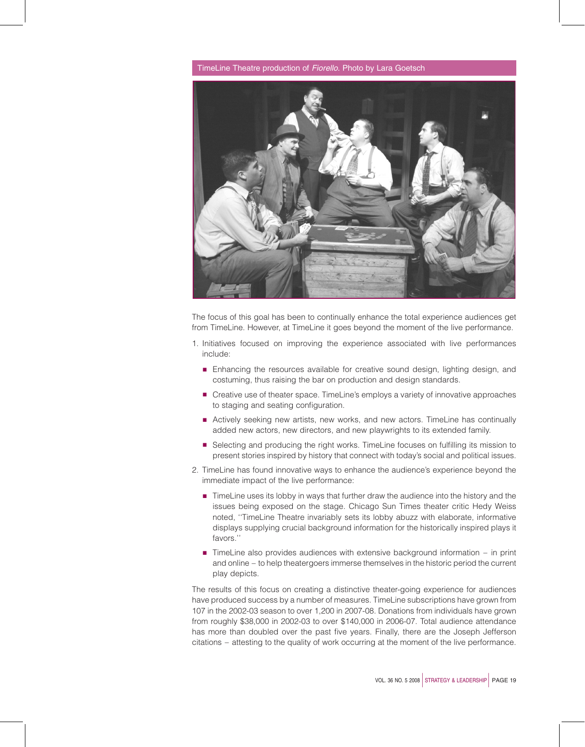

The focus of this goal has been to continually enhance the total experience audiences get from TimeLine. However, at TimeLine it goes beyond the moment of the live performance.

- 1. Initiatives focused on improving the experience associated with live performances include:
	- **Enhancing the resources available for creative sound design, lighting design, and** costuming, thus raising the bar on production and design standards.
	- Creative use of theater space. TimeLine's employs a variety of innovative approaches to staging and seating configuration.
	- **B** Actively seeking new artists, new works, and new actors. TimeLine has continually added new actors, new directors, and new playwrights to its extended family.
	- B Selecting and producing the right works. TimeLine focuses on fulfilling its mission to present stories inspired by history that connect with today's social and political issues.
- 2. TimeLine has found innovative ways to enhance the audience's experience beyond the immediate impact of the live performance:
	- **F** TimeLine uses its lobby in ways that further draw the audience into the history and the issues being exposed on the stage. Chicago Sun Times theater critic Hedy Weiss noted, ''TimeLine Theatre invariably sets its lobby abuzz with elaborate, informative displays supplying crucial background information for the historically inspired plays it favors.''
	- $\blacksquare$  TimeLine also provides audiences with extensive background information in print and online – to help theatergoers immerse themselves in the historic period the current play depicts.

The results of this focus on creating a distinctive theater-going experience for audiences have produced success by a number of measures. TimeLine subscriptions have grown from 107 in the 2002-03 season to over 1,200 in 2007-08. Donations from individuals have grown from roughly \$38,000 in 2002-03 to over \$140,000 in 2006-07. Total audience attendance has more than doubled over the past five years. Finally, there are the Joseph Jefferson citations – attesting to the quality of work occurring at the moment of the live performance.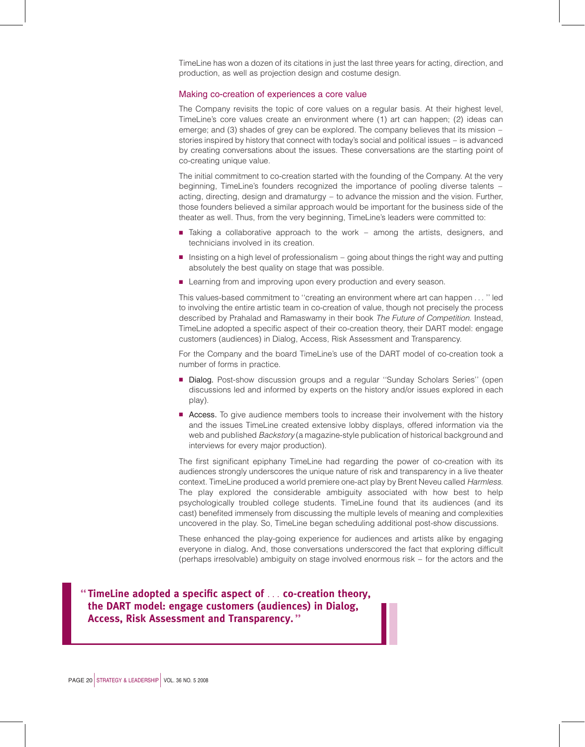TimeLine has won a dozen of its citations in just the last three years for acting, direction, and production, as well as projection design and costume design.

#### Making co-creation of experiences a core value

The Company revisits the topic of core values on a regular basis. At their highest level, TimeLine's core values create an environment where (1) art can happen; (2) ideas can emerge; and (3) shades of grey can be explored. The company believes that its mission – stories inspired by history that connect with today's social and political issues – is advanced by creating conversations about the issues. These conversations are the starting point of co-creating unique value.

The initial commitment to co-creation started with the founding of the Company. At the very beginning, TimeLine's founders recognized the importance of pooling diverse talents – acting, directing, design and dramaturgy – to advance the mission and the vision. Further, those founders believed a similar approach would be important for the business side of the theater as well. Thus, from the very beginning, TimeLine's leaders were committed to:

- **B** Taking a collaborative approach to the work among the artists, designers, and technicians involved in its creation.
- **B** Insisting on a high level of professionalism  $-$  going about things the right way and putting absolutely the best quality on stage that was possible.
- **E** Learning from and improving upon every production and every season.

This values-based commitment to ''creating an environment where art can happen . . . '' led to involving the entire artistic team in co-creation of value, though not precisely the process described by Prahalad and Ramaswamy in their book The Future of Competition. Instead, TimeLine adopted a specific aspect of their co-creation theory, their DART model: engage customers (audiences) in Dialog, Access, Risk Assessment and Transparency.

For the Company and the board TimeLine's use of the DART model of co-creation took a number of forms in practice.

- **Dialog.** Post-show discussion groups and a regular "Sunday Scholars Series" (open discussions led and informed by experts on the history and/or issues explored in each play).
- **B** Access. To give audience members tools to increase their involvement with the history and the issues TimeLine created extensive lobby displays, offered information via the web and published Backstory (a magazine-style publication of historical background and interviews for every major production).

The first significant epiphany TimeLine had regarding the power of co-creation with its audiences strongly underscores the unique nature of risk and transparency in a live theater context. TimeLine produced a world premiere one-act play by Brent Neveu called Harmless. The play explored the considerable ambiguity associated with how best to help psychologically troubled college students. TimeLine found that its audiences (and its cast) benefited immensely from discussing the multiple levels of meaning and complexities uncovered in the play. So, TimeLine began scheduling additional post-show discussions.

These enhanced the play-going experience for audiences and artists alike by engaging everyone in dialog. And, those conversations underscored the fact that exploring difficult (perhaps irresolvable) ambiguity on stage involved enormous risk – for the actors and the

'' TimeLine adopted a specific aspect of ... co-creation theory, the DART model: engage customers (audiences) in Dialog, Access, Risk Assessment and Transparency. ''